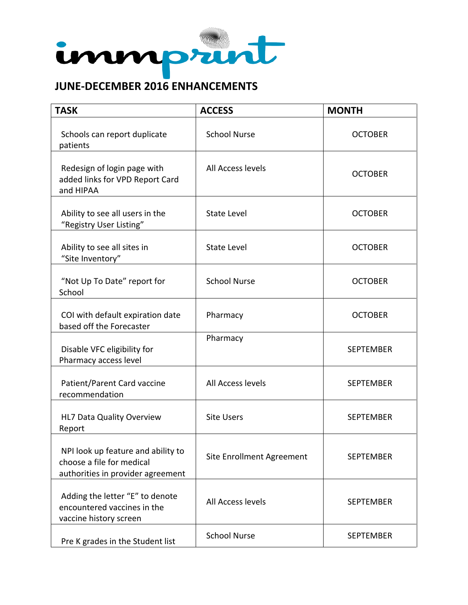

## **JUNE-DECEMBER 2016 ENHANCEMENTS**

| <b>TASK</b>                                                                                          | <b>ACCESS</b>             | <b>MONTH</b>     |
|------------------------------------------------------------------------------------------------------|---------------------------|------------------|
| Schools can report duplicate<br>patients                                                             | <b>School Nurse</b>       | <b>OCTOBER</b>   |
| Redesign of login page with<br>added links for VPD Report Card<br>and HIPAA                          | All Access levels         | <b>OCTOBER</b>   |
| Ability to see all users in the<br>"Registry User Listing"                                           | <b>State Level</b>        | <b>OCTOBER</b>   |
| Ability to see all sites in<br>"Site Inventory"                                                      | <b>State Level</b>        | <b>OCTOBER</b>   |
| "Not Up To Date" report for<br>School                                                                | <b>School Nurse</b>       | <b>OCTOBER</b>   |
| COI with default expiration date<br>based off the Forecaster                                         | Pharmacy                  | <b>OCTOBER</b>   |
| Disable VFC eligibility for<br>Pharmacy access level                                                 | Pharmacy                  | <b>SEPTEMBER</b> |
| Patient/Parent Card vaccine<br>recommendation                                                        | All Access levels         | <b>SEPTEMBER</b> |
| HL7 Data Quality Overview<br>Report                                                                  | <b>Site Users</b>         | <b>SEPTEMBER</b> |
| NPI look up feature and ability to<br>choose a file for medical<br>authorities in provider agreement | Site Enrollment Agreement | <b>SEPTEMBER</b> |
| Adding the letter "E" to denote<br>encountered vaccines in the<br>vaccine history screen             | All Access levels         | <b>SEPTEMBER</b> |
| Pre K grades in the Student list                                                                     | <b>School Nurse</b>       | <b>SEPTEMBER</b> |